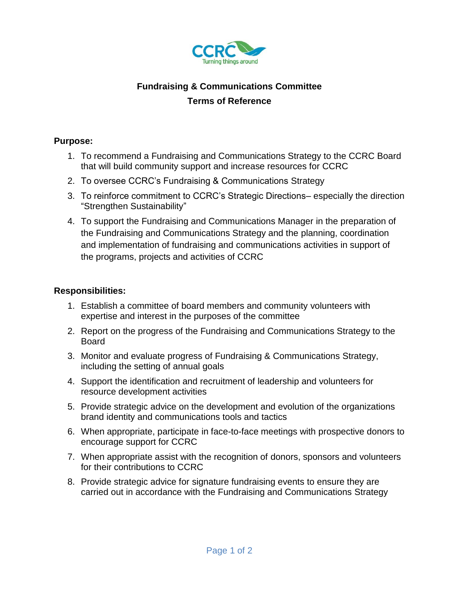

# **Fundraising & Communications Committee Terms of Reference**

### **Purpose:**

- 1. To recommend a Fundraising and Communications Strategy to the CCRC Board that will build community support and increase resources for CCRC
- 2. To oversee CCRC's Fundraising & Communications Strategy
- 3. To reinforce commitment to CCRC's Strategic Directions– especially the direction "Strengthen Sustainability"
- 4. To support the Fundraising and Communications Manager in the preparation of the Fundraising and Communications Strategy and the planning, coordination and implementation of fundraising and communications activities in support of the programs, projects and activities of CCRC

#### **Responsibilities:**

- 1. Establish a committee of board members and community volunteers with expertise and interest in the purposes of the committee
- 2. Report on the progress of the Fundraising and Communications Strategy to the Board
- 3. Monitor and evaluate progress of Fundraising & Communications Strategy, including the setting of annual goals
- 4. Support the identification and recruitment of leadership and volunteers for resource development activities
- 5. Provide strategic advice on the development and evolution of the organizations brand identity and communications tools and tactics
- 6. When appropriate, participate in face-to-face meetings with prospective donors to encourage support for CCRC
- 7. When appropriate assist with the recognition of donors, sponsors and volunteers for their contributions to CCRC
- 8. Provide strategic advice for signature fundraising events to ensure they are carried out in accordance with the Fundraising and Communications Strategy